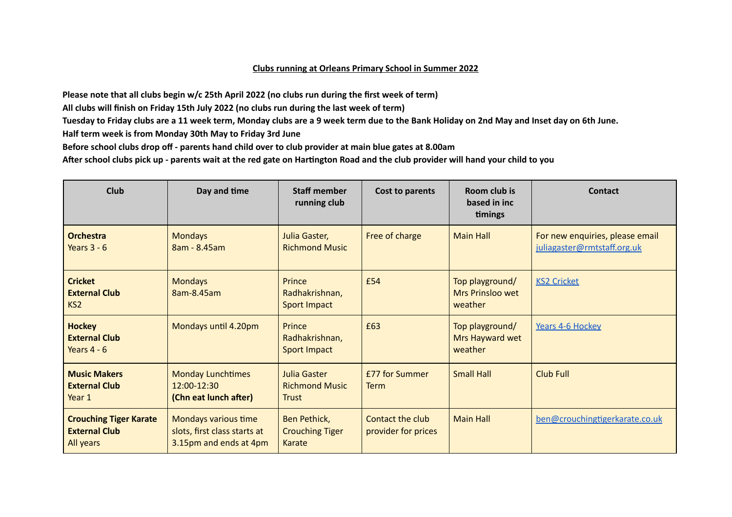## **Clubs running at Orleans Primary School in Summer 2022**

Please note that all clubs begin w/c 25th April 2022 (no clubs run during the first week of term)

**All clubs will finish on Friday 15th July 2022 (no clubs run during the last week of term)**

Tuesday to Friday clubs are a 11 week term, Monday clubs are a 9 week term due to the Bank Holiday on 2nd May and Inset day on 6th June.

**Half term week is from Monday 30th May to Friday 3rd June**

Before school clubs drop off - parents hand child over to club provider at main blue gates at 8.00am

After school clubs pick up - parents wait at the red gate on Hartington Road and the club provider will hand your child to you

| Club                                                               | Day and time                                                                   | <b>Staff member</b><br>running club                   | Cost to parents                         | Room club is<br>based in inc<br>timings        | Contact                                                        |
|--------------------------------------------------------------------|--------------------------------------------------------------------------------|-------------------------------------------------------|-----------------------------------------|------------------------------------------------|----------------------------------------------------------------|
| <b>Orchestra</b><br>Years $3 - 6$                                  | <b>Mondays</b><br>8am - 8.45am                                                 | Julia Gaster,<br><b>Richmond Music</b>                | Free of charge                          | <b>Main Hall</b>                               | For new enquiries, please email<br>juliagaster@rmtstaff.org.uk |
| <b>Cricket</b><br><b>External Club</b><br>KS <sub>2</sub>          | <b>Mondays</b><br>8am-8.45am                                                   | Prince<br>Radhakrishnan,<br><b>Sport Impact</b>       | £54                                     | Top playground/<br>Mrs Prinsloo wet<br>weather | <b>KS2 Cricket</b>                                             |
| <b>Hockey</b><br><b>External Club</b><br>Years $4 - 6$             | Mondays until 4.20pm                                                           | Prince<br>Radhakrishnan,<br>Sport Impact              | £63                                     | Top playground/<br>Mrs Hayward wet<br>weather  | Years 4-6 Hockey                                               |
| <b>Music Makers</b><br><b>External Club</b><br>Year 1              | <b>Monday Lunchtimes</b><br>$12:00-12:30$<br>(Chn eat lunch after)             | Julia Gaster<br><b>Richmond Music</b><br><b>Trust</b> | <b>£77 for Summer</b><br>Term           | <b>Small Hall</b>                              | <b>Club Full</b>                                               |
| <b>Crouching Tiger Karate</b><br><b>External Club</b><br>All years | Mondays various time<br>slots, first class starts at<br>3.15pm and ends at 4pm | Ben Pethick,<br><b>Crouching Tiger</b><br>Karate      | Contact the club<br>provider for prices | <b>Main Hall</b>                               | ben@crouchingtigerkarate.co.uk                                 |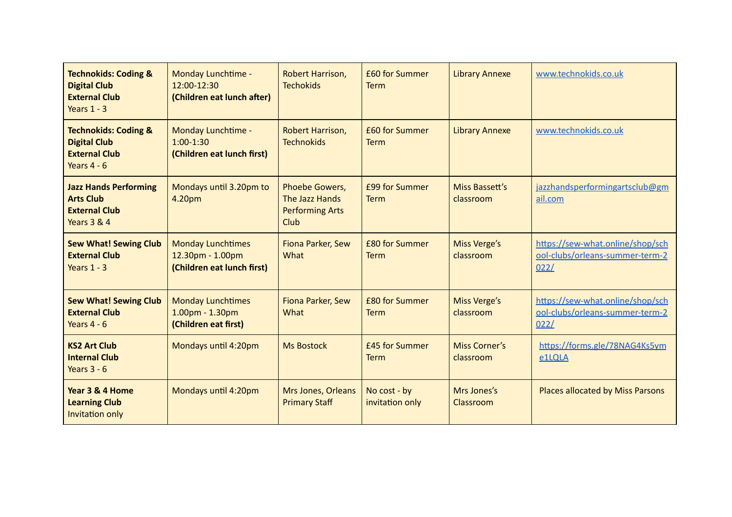| <b>Technokids: Coding &amp;</b><br><b>Digital Club</b><br><b>External Club</b><br>Years $1 - 3$    | Monday Lunchtime -<br>12:00-12:30<br>(Children eat lunch after)            | Robert Harrison,<br><b>Techokids</b>                               | £60 for Summer<br><b>Term</b>   | <b>Library Annexe</b>             | www.technokids.co.uk                                                        |
|----------------------------------------------------------------------------------------------------|----------------------------------------------------------------------------|--------------------------------------------------------------------|---------------------------------|-----------------------------------|-----------------------------------------------------------------------------|
| <b>Technokids: Coding &amp;</b><br><b>Digital Club</b><br><b>External Club</b><br>Years $4 - 6$    | Monday Lunchtime -<br>$1:00-1:30$<br>(Children eat lunch first)            | Robert Harrison,<br><b>Technokids</b>                              | £60 for Summer<br><b>Term</b>   | <b>Library Annexe</b>             | www.technokids.co.uk                                                        |
| <b>Jazz Hands Performing</b><br><b>Arts Club</b><br><b>External Club</b><br><b>Years 3 &amp; 4</b> | Mondays until 3.20pm to<br>4.20pm                                          | Phoebe Gowers,<br>The Jazz Hands<br><b>Performing Arts</b><br>Club | £99 for Summer<br><b>Term</b>   | Miss Bassett's<br>classroom       | jazzhandsperformingartsclub@gm<br>ail.com                                   |
| <b>Sew What! Sewing Club</b><br><b>External Club</b><br>Years $1 - 3$                              | <b>Monday Lunchtimes</b><br>12.30pm - 1.00pm<br>(Children eat lunch first) | Fiona Parker, Sew<br>What                                          | £80 for Summer<br><b>Term</b>   | Miss Verge's<br>classroom         | https://sew-what.online/shop/sch<br>ool-clubs/orleans-summer-term-2<br>022/ |
| <b>Sew What! Sewing Club</b><br><b>External Club</b><br>Years $4 - 6$                              | <b>Monday Lunchtimes</b><br>1.00pm - 1.30pm<br>(Children eat first)        | Fiona Parker, Sew<br>What                                          | £80 for Summer<br><b>Term</b>   | Miss Verge's<br>classroom         | https://sew-what.online/shop/sch<br>ool-clubs/orleans-summer-term-2<br>022/ |
| <b>KS2 Art Club</b><br><b>Internal Club</b><br>Years $3 - 6$                                       | Mondays until 4:20pm                                                       | <b>Ms Bostock</b>                                                  | £45 for Summer<br><b>Term</b>   | <b>Miss Corner's</b><br>classroom | https://forms.gle/78NAG4Ks5ym<br>e1LQLA                                     |
| Year 3 & 4 Home<br><b>Learning Club</b><br>Invitation only                                         | Mondays until 4:20pm                                                       | Mrs Jones, Orleans<br><b>Primary Staff</b>                         | No cost - by<br>invitation only | Mrs Jones's<br>Classroom          | Places allocated by Miss Parsons                                            |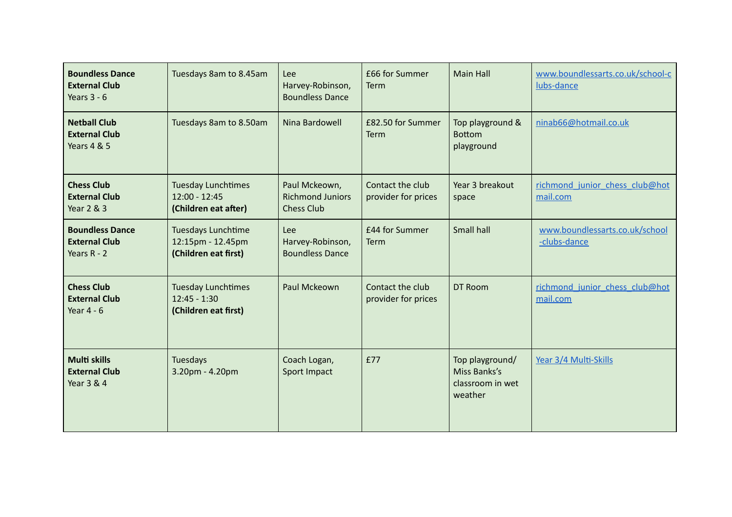| <b>Boundless Dance</b><br><b>External Club</b><br>Years $3 - 6$       | Tuesdays 8am to 8.45am                                               | Lee<br>Harvey-Robinson,<br><b>Boundless Dance</b>             | £66 for Summer<br>Term                  | <b>Main Hall</b>                                               | www.boundlessarts.co.uk/school-c<br>lubs-dance |
|-----------------------------------------------------------------------|----------------------------------------------------------------------|---------------------------------------------------------------|-----------------------------------------|----------------------------------------------------------------|------------------------------------------------|
| <b>Netball Club</b><br><b>External Club</b><br><b>Years 4 &amp; 5</b> | Tuesdays 8am to 8.50am                                               | Nina Bardowell                                                | £82.50 for Summer<br>Term               | Top playground &<br><b>Bottom</b><br>playground                | ninab66@hotmail.co.uk                          |
| <b>Chess Club</b><br><b>External Club</b><br><b>Year 2 &amp; 3</b>    | <b>Tuesday Lunchtimes</b><br>$12:00 - 12:45$<br>(Children eat after) | Paul Mckeown,<br><b>Richmond Juniors</b><br><b>Chess Club</b> | Contact the club<br>provider for prices | Year 3 breakout<br>space                                       | richmond junior chess club@hot<br>mail.com     |
| <b>Boundless Dance</b><br><b>External Club</b><br>Years $R - 2$       | Tuesdays Lunchtime<br>12:15pm - 12.45pm<br>(Children eat first)      | Lee<br>Harvey-Robinson,<br><b>Boundless Dance</b>             | £44 for Summer<br>Term                  | Small hall                                                     | www.boundlessarts.co.uk/school<br>-clubs-dance |
| <b>Chess Club</b><br><b>External Club</b><br>Year $4 - 6$             | <b>Tuesday Lunchtimes</b><br>$12:45 - 1:30$<br>(Children eat first)  | Paul Mckeown                                                  | Contact the club<br>provider for prices | DT Room                                                        | richmond junior chess club@hot<br>mail.com     |
| <b>Multi skills</b><br><b>External Club</b><br>Year 3 & 4             | Tuesdays<br>3.20pm - 4.20pm                                          | Coach Logan,<br>Sport Impact                                  | £77                                     | Top playground/<br>Miss Banks's<br>classroom in wet<br>weather | Year 3/4 Multi-Skills                          |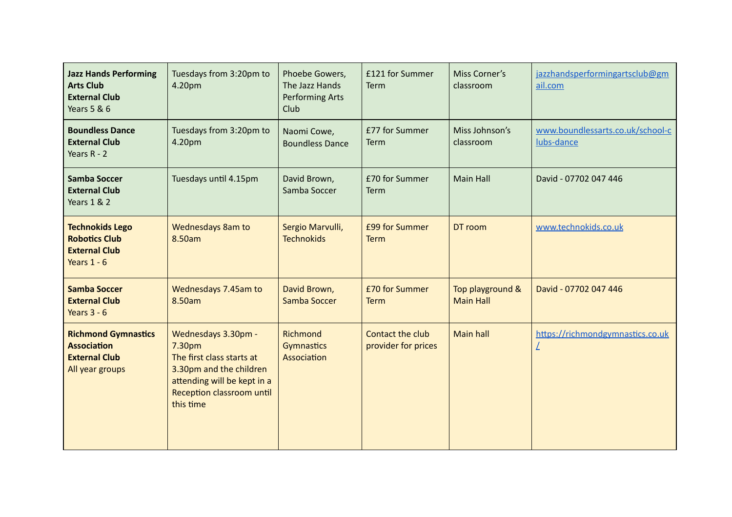| <b>Jazz Hands Performing</b><br><b>Arts Club</b><br><b>External Club</b><br><b>Years 5 &amp; 6</b> | Tuesdays from 3:20pm to<br>4.20pm                                                                                                                              | Phoebe Gowers,<br>The Jazz Hands<br><b>Performing Arts</b><br>Club | £121 for Summer<br>Term                 | Miss Corner's<br>classroom           | jazzhandsperformingartsclub@gm<br>ail.com      |
|----------------------------------------------------------------------------------------------------|----------------------------------------------------------------------------------------------------------------------------------------------------------------|--------------------------------------------------------------------|-----------------------------------------|--------------------------------------|------------------------------------------------|
| <b>Boundless Dance</b><br><b>External Club</b><br>Years $R - 2$                                    | Tuesdays from 3:20pm to<br>4.20pm                                                                                                                              | Naomi Cowe,<br><b>Boundless Dance</b>                              | £77 for Summer<br>Term                  | Miss Johnson's<br>classroom          | www.boundlessarts.co.uk/school-c<br>lubs-dance |
| <b>Samba Soccer</b><br><b>External Club</b><br>Years 1 & 2                                         | Tuesdays until 4.15pm                                                                                                                                          | David Brown,<br>Samba Soccer                                       | £70 for Summer<br>Term                  | <b>Main Hall</b>                     | David - 07702 047 446                          |
| <b>Technokids Lego</b><br><b>Robotics Club</b><br><b>External Club</b><br>Years $1 - 6$            | <b>Wednesdays 8am to</b><br>8.50am                                                                                                                             | Sergio Marvulli,<br><b>Technokids</b>                              | £99 for Summer<br><b>Term</b>           | DT room                              | www.technokids.co.uk                           |
| <b>Samba Soccer</b><br><b>External Club</b><br>Years $3 - 6$                                       | Wednesdays 7.45am to<br>8.50am                                                                                                                                 | David Brown,<br>Samba Soccer                                       | £70 for Summer<br><b>Term</b>           | Top playground &<br><b>Main Hall</b> | David - 07702 047 446                          |
| <b>Richmond Gymnastics</b><br><b>Association</b><br><b>External Club</b><br>All year groups        | Wednesdays 3.30pm -<br>7.30pm<br>The first class starts at<br>3.30pm and the children<br>attending will be kept in a<br>Reception classroom until<br>this time | Richmond<br><b>Gymnastics</b><br>Association                       | Contact the club<br>provider for prices | <b>Main hall</b>                     | https://richmondgymnastics.co.uk               |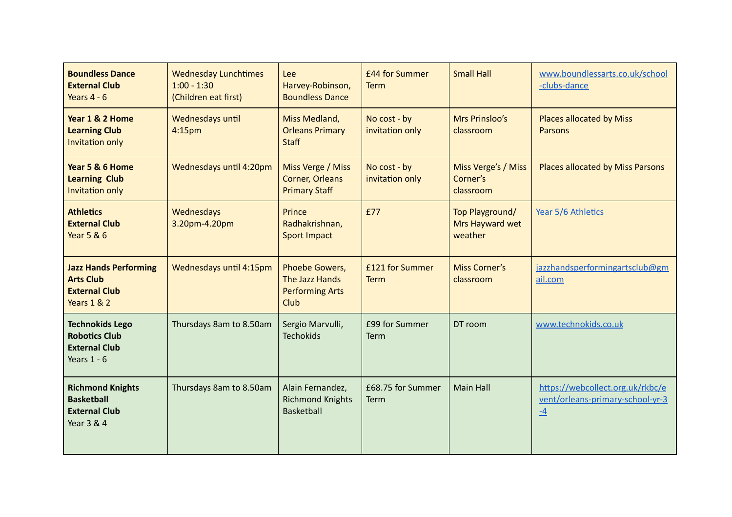| <b>Boundless Dance</b><br><b>External Club</b><br>Years $4 - 6$                                    | <b>Wednesday Lunchtimes</b><br>$1:00 - 1:30$<br>(Children eat first) | Lee<br>Harvey-Robinson,<br><b>Boundless Dance</b>                         | £44 for Summer<br>Term          | <b>Small Hall</b>                             | www.boundlessarts.co.uk/school<br>-clubs-dance                               |
|----------------------------------------------------------------------------------------------------|----------------------------------------------------------------------|---------------------------------------------------------------------------|---------------------------------|-----------------------------------------------|------------------------------------------------------------------------------|
| Year 1 & 2 Home<br><b>Learning Club</b><br><b>Invitation only</b>                                  | Wednesdays until<br>4:15 <sub>pm</sub>                               | Miss Medland,<br><b>Orleans Primary</b><br><b>Staff</b>                   | No cost - by<br>invitation only | Mrs Prinsloo's<br>classroom                   | <b>Places allocated by Miss</b><br><b>Parsons</b>                            |
| Year 5 & 6 Home<br><b>Learning Club</b><br>Invitation only                                         | Wednesdays until 4:20pm                                              | Miss Verge / Miss<br><b>Corner, Orleans</b><br><b>Primary Staff</b>       | No cost - by<br>invitation only | Miss Verge's / Miss<br>Corner's<br>classroom  | Places allocated by Miss Parsons                                             |
| <b>Athletics</b><br><b>External Club</b><br><b>Year 5 &amp; 6</b>                                  | Wednesdays<br>3.20pm-4.20pm                                          | Prince<br>Radhakrishnan,<br><b>Sport Impact</b>                           | £77                             | Top Playground/<br>Mrs Hayward wet<br>weather | Year 5/6 Athletics                                                           |
| <b>Jazz Hands Performing</b><br><b>Arts Club</b><br><b>External Club</b><br><b>Years 1 &amp; 2</b> | Wednesdays until 4:15pm                                              | Phoebe Gowers,<br>The Jazz Hands<br><b>Performing Arts</b><br><b>Club</b> | £121 for Summer<br><b>Term</b>  | <b>Miss Corner's</b><br>classroom             | jazzhandsperformingartsclub@gm<br>ail.com                                    |
| <b>Technokids Lego</b><br><b>Robotics Club</b><br><b>External Club</b><br>Years $1 - 6$            | Thursdays 8am to 8.50am                                              | Sergio Marvulli,<br><b>Techokids</b>                                      | £99 for Summer<br>Term          | DT room                                       | www.technokids.co.uk                                                         |
| <b>Richmond Knights</b><br><b>Basketball</b><br><b>External Club</b><br><b>Year 3 &amp; 4</b>      | Thursdays 8am to 8.50am                                              | Alain Fernandez,<br><b>Richmond Knights</b><br><b>Basketball</b>          | £68.75 for Summer<br>Term       | <b>Main Hall</b>                              | https://webcollect.org.uk/rkbc/e<br>vent/orleans-primary-school-yr-3<br>$-4$ |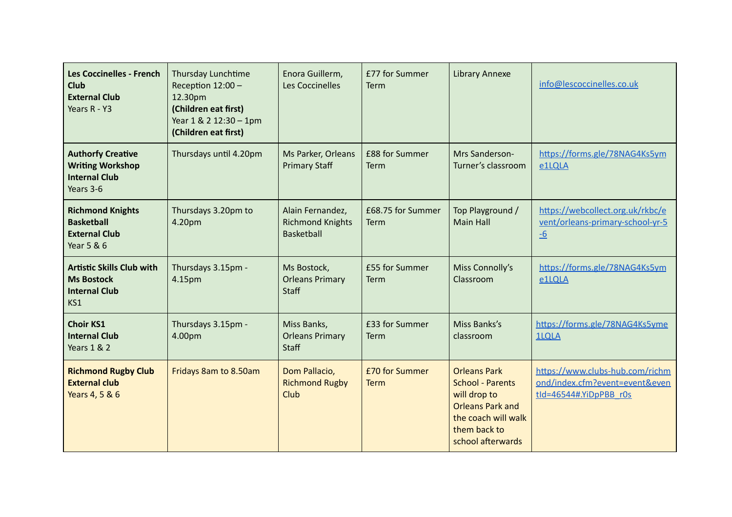| <b>Les Coccinelles - French</b><br><b>Club</b><br><b>External Club</b><br>Years R - Y3   | Thursday Lunchtime<br>Reception 12:00 -<br>12.30pm<br>(Children eat first)<br>Year 1 & 2 12:30 - 1pm<br>(Children eat first) | Enora Guillerm,<br>Les Coccinelles                               | £77 for Summer<br>Term        | <b>Library Annexe</b>                                                                                                                                 | info@lescoccinelles.co.uk                                                                   |
|------------------------------------------------------------------------------------------|------------------------------------------------------------------------------------------------------------------------------|------------------------------------------------------------------|-------------------------------|-------------------------------------------------------------------------------------------------------------------------------------------------------|---------------------------------------------------------------------------------------------|
| <b>Authorfy Creative</b><br><b>Writing Workshop</b><br><b>Internal Club</b><br>Years 3-6 | Thursdays until 4.20pm                                                                                                       | Ms Parker, Orleans<br><b>Primary Staff</b>                       | £88 for Summer<br>Term        | Mrs Sanderson-<br>Turner's classroom                                                                                                                  | https://forms.gle/78NAG4Ks5ym<br>e1LQLA                                                     |
| <b>Richmond Knights</b><br><b>Basketball</b><br><b>External Club</b><br>Year 5 & 6       | Thursdays 3.20pm to<br>4.20pm                                                                                                | Alain Fernandez,<br><b>Richmond Knights</b><br><b>Basketball</b> | £68.75 for Summer<br>Term     | Top Playground /<br><b>Main Hall</b>                                                                                                                  | https://webcollect.org.uk/rkbc/e<br>vent/orleans-primary-school-yr-5<br>$-6$                |
| <b>Artistic Skills Club with</b><br><b>Ms Bostock</b><br><b>Internal Club</b><br>KS1     | Thursdays 3.15pm -<br>4.15pm                                                                                                 | Ms Bostock,<br><b>Orleans Primary</b><br><b>Staff</b>            | £55 for Summer<br>Term        | Miss Connolly's<br>Classroom                                                                                                                          | https://forms.gle/78NAG4Ks5ym<br>e1LQLA                                                     |
| <b>Choir KS1</b><br><b>Internal Club</b><br><b>Years 1 &amp; 2</b>                       | Thursdays 3.15pm -<br>4.00pm                                                                                                 | Miss Banks,<br><b>Orleans Primary</b><br><b>Staff</b>            | £33 for Summer<br>Term        | Miss Banks's<br>classroom                                                                                                                             | https://forms.gle/78NAG4Ks5yme<br><b>1LQLA</b>                                              |
| <b>Richmond Rugby Club</b><br><b>External club</b><br>Years 4, 5 & 6                     | Fridays 8am to 8.50am                                                                                                        | Dom Pallacio,<br><b>Richmond Rugby</b><br>Club                   | £70 for Summer<br><b>Term</b> | <b>Orleans Park</b><br><b>School - Parents</b><br>will drop to<br><b>Orleans Park and</b><br>the coach will walk<br>them back to<br>school afterwards | https://www.clubs-hub.com/richm<br>ond/index.cfm?event=event&even<br>tld=46544#.YiDpPBB r0s |